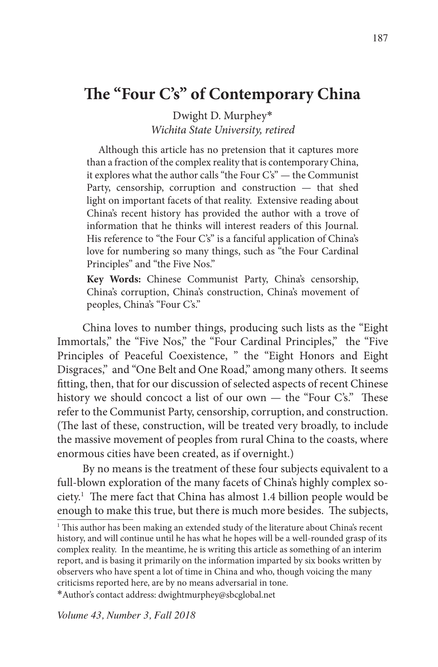# **The "Four C's" of Contemporary China**

Dwight D. Murphey\* *Wichita State University, retired*

Although this article has no pretension that it captures more than a fraction of the complex reality that is contemporary China, it explores what the author calls "the Four C's" — the Communist Party, censorship, corruption and construction — that shed light on important facets of that reality. Extensive reading about China's recent history has provided the author with a trove of information that he thinks will interest readers of this Journal. His reference to "the Four C's" is a fanciful application of China's love for numbering so many things, such as "the Four Cardinal Principles" and "the Five Nos."

**Key Words:** Chinese Communist Party, China's censorship, China's corruption, China's construction, China's movement of peoples, China's "Four C's."

China loves to number things, producing such lists as the "Eight Immortals," the "Five Nos," the "Four Cardinal Principles," the "Five Principles of Peaceful Coexistence, " the "Eight Honors and Eight Disgraces," and "One Belt and One Road," among many others. It seems fitting, then, that for our discussion of selected aspects of recent Chinese history we should concoct a list of our own — the "Four C's." These refer to the Communist Party, censorship, corruption, and construction. (The last of these, construction, will be treated very broadly, to include the massive movement of peoples from rural China to the coasts, where enormous cities have been created, as if overnight.)

By no means is the treatment of these four subjects equivalent to a full-blown exploration of the many facets of China's highly complex society.1 The mere fact that China has almost 1.4 billion people would be enough to make this true, but there is much more besides. The subjects,

\*Author's contact address: dwightmurphey@sbcglobal.net

*Volume 43, Number 3, Fall 2018*

<sup>&</sup>lt;sup>1</sup> This author has been making an extended study of the literature about China's recent history, and will continue until he has what he hopes will be a well-rounded grasp of its complex reality. In the meantime, he is writing this article as something of an interim report, and is basing it primarily on the information imparted by six books written by observers who have spent a lot of time in China and who, though voicing the many criticisms reported here, are by no means adversarial in tone.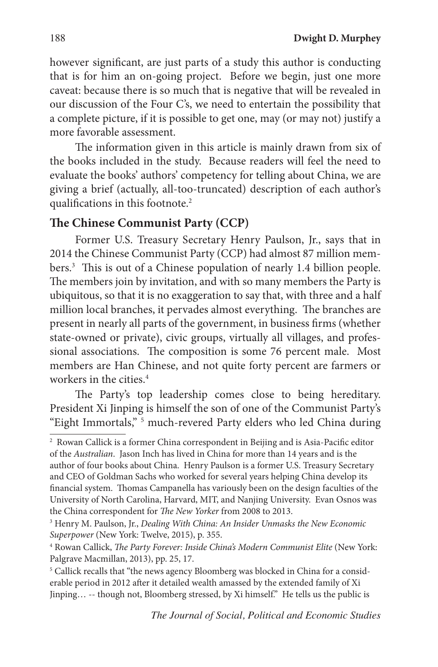however significant, are just parts of a study this author is conducting that is for him an on-going project. Before we begin, just one more caveat: because there is so much that is negative that will be revealed in our discussion of the Four C's, we need to entertain the possibility that a complete picture, if it is possible to get one, may (or may not) justify a more favorable assessment.

The information given in this article is mainly drawn from six of the books included in the study. Because readers will feel the need to evaluate the books' authors' competency for telling about China, we are giving a brief (actually, all-too-truncated) description of each author's qualifications in this footnote.<sup>2</sup>

## **The Chinese Communist Party (CCP)**

Former U.S. Treasury Secretary Henry Paulson, Jr., says that in 2014 the Chinese Communist Party (CCP) had almost 87 million members.3 This is out of a Chinese population of nearly 1.4 billion people. The members join by invitation, and with so many members the Party is ubiquitous, so that it is no exaggeration to say that, with three and a half million local branches, it pervades almost everything. The branches are present in nearly all parts of the government, in business firms (whether state-owned or private), civic groups, virtually all villages, and professional associations. The composition is some 76 percent male. Most members are Han Chinese, and not quite forty percent are farmers or workers in the cities.<sup>4</sup>

The Party's top leadership comes close to being hereditary. President Xi Jinping is himself the son of one of the Communist Party's "Eight Immortals," 5 much-revered Party elders who led China during

<sup>2</sup> Rowan Callick is a former China correspondent in Beijing and is Asia-Pacific editor of the *Australian*. Jason Inch has lived in China for more than 14 years and is the author of four books about China. Henry Paulson is a former U.S. Treasury Secretary and CEO of Goldman Sachs who worked for several years helping China develop its financial system. Thomas Campanella has variously been on the design faculties of the University of North Carolina, Harvard, MIT, and Nanjing University. Evan Osnos was the China correspondent for *The New Yorker* from 2008 to 2013.

<sup>3</sup> Henry M. Paulson, Jr., *Dealing With China: An Insider Unmasks the New Economic Superpower* (New York: Twelve, 2015), p. 355.

<sup>4</sup> Rowan Callick, *The Party Forever: Inside China's Modern Communist Elite* (New York: Palgrave Macmillan, 2013), pp. 25, 17.

<sup>&</sup>lt;sup>5</sup> Callick recalls that "the news agency Bloomberg was blocked in China for a considerable period in 2012 after it detailed wealth amassed by the extended family of Xi Jinping… -- though not, Bloomberg stressed, by Xi himself." He tells us the public is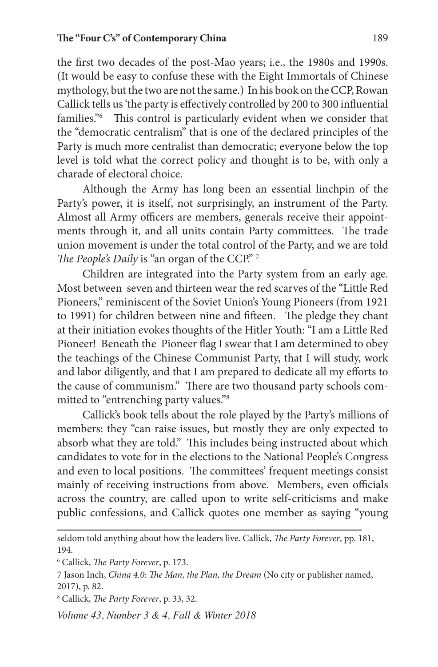the first two decades of the post-Mao years; i.e., the 1980s and 1990s. (It would be easy to confuse these with the Eight Immortals of Chinese mythology, but the two are not the same.) In his book on the CCP, Rowan Callick tells us 'the party is effectively controlled by 200 to 300 influential families."6 This control is particularly evident when we consider that the "democratic centralism" that is one of the declared principles of the Party is much more centralist than democratic; everyone below the top level is told what the correct policy and thought is to be, with only a charade of electoral choice.

Although the Army has long been an essential linchpin of the Party's power, it is itself, not surprisingly, an instrument of the Party. Almost all Army officers are members, generals receive their appointments through it, and all units contain Party committees. The trade union movement is under the total control of the Party, and we are told *The People's Daily* is "an organ of the CCP." 7

Children are integrated into the Party system from an early age. Most between seven and thirteen wear the red scarves of the "Little Red Pioneers," reminiscent of the Soviet Union's Young Pioneers (from 1921 to 1991) for children between nine and fifteen. The pledge they chant at their initiation evokes thoughts of the Hitler Youth: "I am a Little Red Pioneer! Beneath the Pioneer flag I swear that I am determined to obey the teachings of the Chinese Communist Party, that I will study, work and labor diligently, and that I am prepared to dedicate all my efforts to the cause of communism." There are two thousand party schools committed to "entrenching party values."8

Callick's book tells about the role played by the Party's millions of members: they "can raise issues, but mostly they are only expected to absorb what they are told." This includes being instructed about which candidates to vote for in the elections to the National People's Congress and even to local positions. The committees' frequent meetings consist mainly of receiving instructions from above. Members, even officials across the country, are called upon to write self-criticisms and make public confessions, and Callick quotes one member as saying "young

seldom told anything about how the leaders live. Callick, *The Party Forever*, pp. 181, 194.

<sup>6</sup> Callick, *The Party Forever*, p. 173.

<sup>7</sup> Jason Inch, *China 4.0: The Man, the Plan, the Dream* (No city or publisher named, 2017), p. 82.

<sup>8</sup> Callick, *The Party Forever*, p. 33, 32.

*Volume 43, Number 3 & 4, Fall & Winter 2018*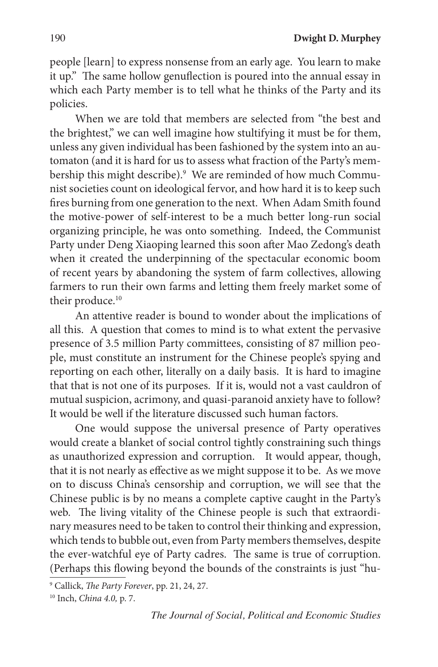people [learn] to express nonsense from an early age. You learn to make it up." The same hollow genuflection is poured into the annual essay in which each Party member is to tell what he thinks of the Party and its policies.

When we are told that members are selected from "the best and the brightest," we can well imagine how stultifying it must be for them, unless any given individual has been fashioned by the system into an automaton (and it is hard for us to assess what fraction of the Party's membership this might describe).<sup>9</sup> We are reminded of how much Communist societies count on ideological fervor, and how hard it is to keep such fires burning from one generation to the next. When Adam Smith found the motive-power of self-interest to be a much better long-run social organizing principle, he was onto something. Indeed, the Communist Party under Deng Xiaoping learned this soon after Mao Zedong's death when it created the underpinning of the spectacular economic boom of recent years by abandoning the system of farm collectives, allowing farmers to run their own farms and letting them freely market some of their produce.<sup>10</sup>

An attentive reader is bound to wonder about the implications of all this. A question that comes to mind is to what extent the pervasive presence of 3.5 million Party committees, consisting of 87 million people, must constitute an instrument for the Chinese people's spying and reporting on each other, literally on a daily basis. It is hard to imagine that that is not one of its purposes. If it is, would not a vast cauldron of mutual suspicion, acrimony, and quasi-paranoid anxiety have to follow? It would be well if the literature discussed such human factors.

One would suppose the universal presence of Party operatives would create a blanket of social control tightly constraining such things as unauthorized expression and corruption. It would appear, though, that it is not nearly as effective as we might suppose it to be. As we move on to discuss China's censorship and corruption, we will see that the Chinese public is by no means a complete captive caught in the Party's web. The living vitality of the Chinese people is such that extraordinary measures need to be taken to control their thinking and expression, which tends to bubble out, even from Party members themselves, despite the ever-watchful eye of Party cadres. The same is true of corruption. (Perhaps this flowing beyond the bounds of the constraints is just "hu-

<sup>9</sup> Callick, *The Party Forever*, pp. 21, 24, 27.

<sup>10</sup> Inch, *China 4.0,* p. 7.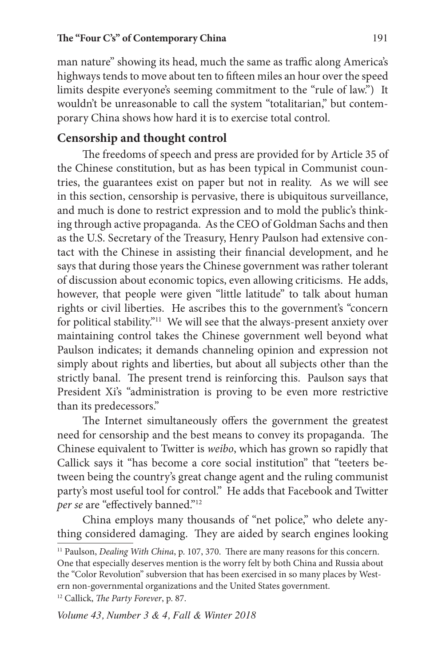#### **The "Four C's" of Contemporary China** 191

man nature" showing its head, much the same as traffic along America's highways tends to move about ten to fifteen miles an hour over the speed limits despite everyone's seeming commitment to the "rule of law.") It wouldn't be unreasonable to call the system "totalitarian," but contemporary China shows how hard it is to exercise total control.

# **Censorship and thought control**

The freedoms of speech and press are provided for by Article 35 of the Chinese constitution, but as has been typical in Communist countries, the guarantees exist on paper but not in reality. As we will see in this section, censorship is pervasive, there is ubiquitous surveillance, and much is done to restrict expression and to mold the public's thinking through active propaganda. As the CEO of Goldman Sachs and then as the U.S. Secretary of the Treasury, Henry Paulson had extensive contact with the Chinese in assisting their financial development, and he says that during those years the Chinese government was rather tolerant of discussion about economic topics, even allowing criticisms. He adds, however, that people were given "little latitude" to talk about human rights or civil liberties. He ascribes this to the government's "concern for political stability."<sup>11</sup> We will see that the always-present anxiety over maintaining control takes the Chinese government well beyond what Paulson indicates; it demands channeling opinion and expression not simply about rights and liberties, but about all subjects other than the strictly banal. The present trend is reinforcing this. Paulson says that President Xi's "administration is proving to be even more restrictive than its predecessors."

The Internet simultaneously offers the government the greatest need for censorship and the best means to convey its propaganda. The Chinese equivalent to Twitter is *weibo*, which has grown so rapidly that Callick says it "has become a core social institution" that "teeters between being the country's great change agent and the ruling communist party's most useful tool for control." He adds that Facebook and Twitter *per se* are "effectively banned."12

China employs many thousands of "net police," who delete anything considered damaging. They are aided by search engines looking

<sup>&</sup>lt;sup>11</sup> Paulson, *Dealing With China*, p. 107, 370. There are many reasons for this concern. One that especially deserves mention is the worry felt by both China and Russia about the "Color Revolution" subversion that has been exercised in so many places by Western non-governmental organizations and the United States government. 12 Callick, *The Party Forever*, p. 87.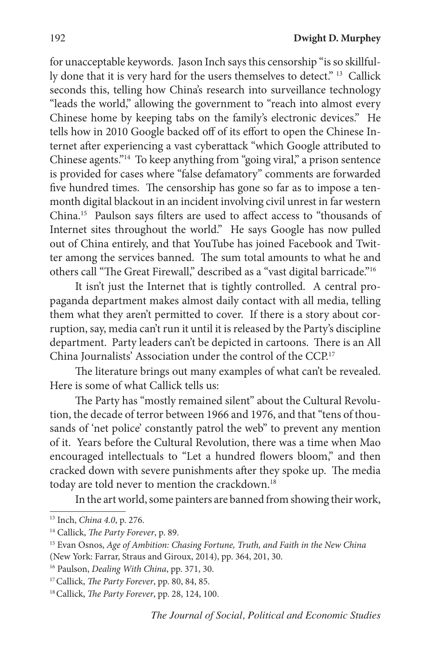for unacceptable keywords. Jason Inch says this censorship "is so skillfully done that it is very hard for the users themselves to detect." 13 Callick seconds this, telling how China's research into surveillance technology "leads the world," allowing the government to "reach into almost every Chinese home by keeping tabs on the family's electronic devices." He tells how in 2010 Google backed off of its effort to open the Chinese Internet after experiencing a vast cyberattack "which Google attributed to Chinese agents."14 To keep anything from "going viral," a prison sentence is provided for cases where "false defamatory" comments are forwarded five hundred times. The censorship has gone so far as to impose a tenmonth digital blackout in an incident involving civil unrest in far western China.15 Paulson says filters are used to affect access to "thousands of Internet sites throughout the world." He says Google has now pulled out of China entirely, and that YouTube has joined Facebook and Twitter among the services banned. The sum total amounts to what he and others call "The Great Firewall," described as a "vast digital barricade."16

It isn't just the Internet that is tightly controlled. A central propaganda department makes almost daily contact with all media, telling them what they aren't permitted to cover. If there is a story about corruption, say, media can't run it until it is released by the Party's discipline department. Party leaders can't be depicted in cartoons. There is an All China Journalists' Association under the control of the CCP.17

The literature brings out many examples of what can't be revealed. Here is some of what Callick tells us:

The Party has "mostly remained silent" about the Cultural Revolution, the decade of terror between 1966 and 1976, and that "tens of thousands of 'net police' constantly patrol the web" to prevent any mention of it. Years before the Cultural Revolution, there was a time when Mao encouraged intellectuals to "Let a hundred flowers bloom," and then cracked down with severe punishments after they spoke up. The media today are told never to mention the crackdown.<sup>18</sup>

In the art world, some painters are banned from showing their work,

<sup>13</sup> Inch, *China 4.0*, p. 276.

<sup>14</sup> Callick, *The Party Forever*, p. 89.

<sup>15</sup> Evan Osnos, *Age of Ambition: Chasing Fortune, Truth, and Faith in the New China* (New York: Farrar, Straus and Giroux, 2014), pp. 364, 201, 30.

<sup>16</sup> Paulson, *Dealing With China*, pp. 371, 30.

<sup>17</sup> Callick, *The Party Forever*, pp. 80, 84, 85.

<sup>18</sup> Callick, *The Party Forever*, pp. 28, 124, 100.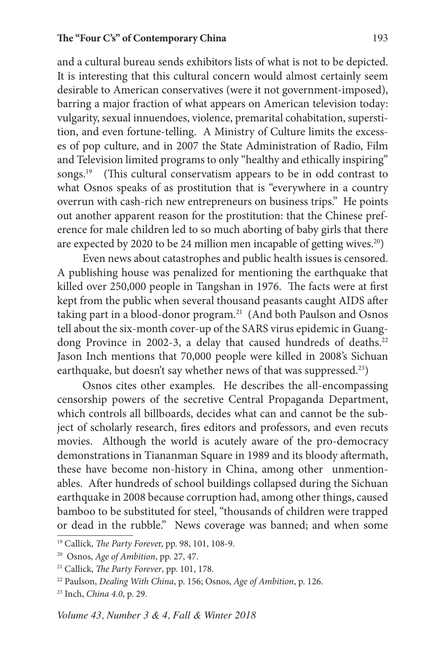and a cultural bureau sends exhibitors lists of what is not to be depicted. It is interesting that this cultural concern would almost certainly seem desirable to American conservatives (were it not government-imposed), barring a major fraction of what appears on American television today: vulgarity, sexual innuendoes, violence, premarital cohabitation, superstition, and even fortune-telling. A Ministry of Culture limits the excesses of pop culture, and in 2007 the State Administration of Radio, Film and Television limited programs to only "healthy and ethically inspiring" songs.<sup>19</sup> (This cultural conservatism appears to be in odd contrast to what Osnos speaks of as prostitution that is "everywhere in a country overrun with cash-rich new entrepreneurs on business trips." He points out another apparent reason for the prostitution: that the Chinese preference for male children led to so much aborting of baby girls that there are expected by 2020 to be 24 million men incapable of getting wives.<sup>20</sup>)

Even news about catastrophes and public health issues is censored. A publishing house was penalized for mentioning the earthquake that killed over 250,000 people in Tangshan in 1976. The facts were at first kept from the public when several thousand peasants caught AIDS after taking part in a blood-donor program.<sup>21</sup> (And both Paulson and Osnos tell about the six-month cover-up of the SARS virus epidemic in Guangdong Province in 2002-3, a delay that caused hundreds of deaths.<sup>22</sup> Jason Inch mentions that 70,000 people were killed in 2008's Sichuan earthquake, but doesn't say whether news of that was suppressed.<sup>23</sup>)

Osnos cites other examples. He describes the all-encompassing censorship powers of the secretive Central Propaganda Department, which controls all billboards, decides what can and cannot be the subject of scholarly research, fires editors and professors, and even recuts movies. Although the world is acutely aware of the pro-democracy demonstrations in Tiananman Square in 1989 and its bloody aftermath, these have become non-history in China, among other unmentionables. After hundreds of school buildings collapsed during the Sichuan earthquake in 2008 because corruption had, among other things, caused bamboo to be substituted for steel, "thousands of children were trapped or dead in the rubble." News coverage was banned; and when some

<sup>19</sup> Callick, *The Party Foreve*r, pp. 98, 101, 108-9.

<sup>20</sup> Osnos, *Age of Ambition*, pp. 27, 47.

<sup>21</sup> Callick, *The Party Forever*, pp. 101, 178. 22 Paulson, *Dealing With China*, p. 156; Osnos, *Age of Ambition*, p. 126.

<sup>23</sup> Inch, *China 4.0*, p. 29.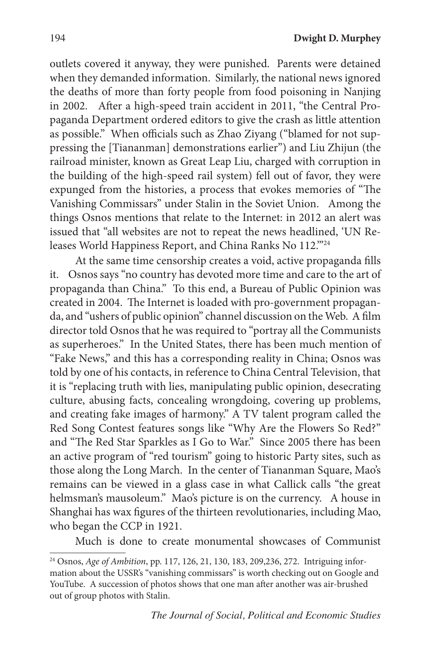outlets covered it anyway, they were punished. Parents were detained when they demanded information. Similarly, the national news ignored the deaths of more than forty people from food poisoning in Nanjing in 2002. After a high-speed train accident in 2011, "the Central Propaganda Department ordered editors to give the crash as little attention as possible." When officials such as Zhao Ziyang ("blamed for not suppressing the [Tiananman] demonstrations earlier") and Liu Zhijun (the railroad minister, known as Great Leap Liu, charged with corruption in the building of the high-speed rail system) fell out of favor, they were expunged from the histories, a process that evokes memories of "The Vanishing Commissars" under Stalin in the Soviet Union. Among the things Osnos mentions that relate to the Internet: in 2012 an alert was issued that "all websites are not to repeat the news headlined, 'UN Releases World Happiness Report, and China Ranks No 112."<sup>24</sup>

At the same time censorship creates a void, active propaganda fills it. Osnos says "no country has devoted more time and care to the art of propaganda than China." To this end, a Bureau of Public Opinion was created in 2004. The Internet is loaded with pro-government propaganda, and "ushers of public opinion" channel discussion on the Web. A film director told Osnos that he was required to "portray all the Communists as superheroes." In the United States, there has been much mention of "Fake News," and this has a corresponding reality in China; Osnos was told by one of his contacts, in reference to China Central Television, that it is "replacing truth with lies, manipulating public opinion, desecrating culture, abusing facts, concealing wrongdoing, covering up problems, and creating fake images of harmony." A TV talent program called the Red Song Contest features songs like "Why Are the Flowers So Red?" and "The Red Star Sparkles as I Go to War." Since 2005 there has been an active program of "red tourism" going to historic Party sites, such as those along the Long March. In the center of Tiananman Square, Mao's remains can be viewed in a glass case in what Callick calls "the great helmsman's mausoleum." Mao's picture is on the currency. A house in Shanghai has wax figures of the thirteen revolutionaries, including Mao, who began the CCP in 1921.

Much is done to create monumental showcases of Communist

<sup>24</sup> Osnos, *Age of Ambition*, pp. 117, 126, 21, 130, 183, 209,236, 272. Intriguing information about the USSR's "vanishing commissars" is worth checking out on Google and YouTube. A succession of photos shows that one man after another was air-brushed out of group photos with Stalin.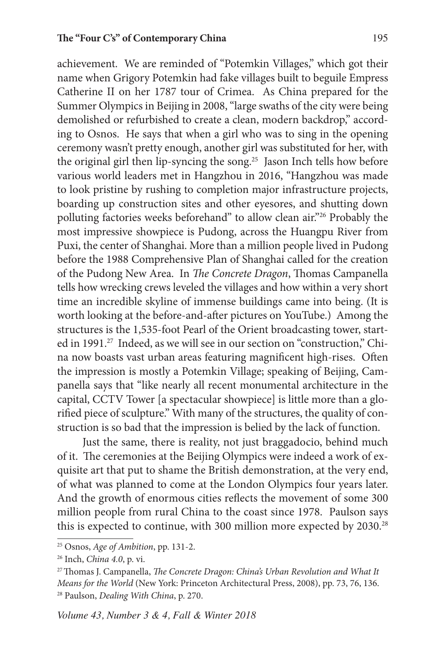achievement. We are reminded of "Potemkin Villages," which got their name when Grigory Potemkin had fake villages built to beguile Empress Catherine II on her 1787 tour of Crimea. As China prepared for the Summer Olympics in Beijing in 2008, "large swaths of the city were being demolished or refurbished to create a clean, modern backdrop," according to Osnos. He says that when a girl who was to sing in the opening ceremony wasn't pretty enough, another girl was substituted for her, with the original girl then lip-syncing the song.<sup>25</sup> Jason Inch tells how before various world leaders met in Hangzhou in 2016, "Hangzhou was made to look pristine by rushing to completion major infrastructure projects, boarding up construction sites and other eyesores, and shutting down polluting factories weeks beforehand" to allow clean air."26 Probably the most impressive showpiece is Pudong, across the Huangpu River from Puxi, the center of Shanghai. More than a million people lived in Pudong before the 1988 Comprehensive Plan of Shanghai called for the creation of the Pudong New Area. In *The Concrete Dragon*, Thomas Campanella tells how wrecking crews leveled the villages and how within a very short time an incredible skyline of immense buildings came into being. (It is worth looking at the before-and-after pictures on YouTube.) Among the structures is the 1,535-foot Pearl of the Orient broadcasting tower, started in 1991.<sup>27</sup> Indeed, as we will see in our section on "construction," China now boasts vast urban areas featuring magnificent high-rises. Often the impression is mostly a Potemkin Village; speaking of Beijing, Campanella says that "like nearly all recent monumental architecture in the capital, CCTV Tower [a spectacular showpiece] is little more than a glorified piece of sculpture." With many of the structures, the quality of construction is so bad that the impression is belied by the lack of function.

Just the same, there is reality, not just braggadocio, behind much of it. The ceremonies at the Beijing Olympics were indeed a work of exquisite art that put to shame the British demonstration, at the very end, of what was planned to come at the London Olympics four years later. And the growth of enormous cities reflects the movement of some 300 million people from rural China to the coast since 1978. Paulson says this is expected to continue, with 300 million more expected by 2030.<sup>28</sup>

<sup>25</sup> Osnos, *Age of Ambition*, pp. 131-2.

<sup>26</sup> Inch, *China 4.0*, p. vi.

<sup>27</sup> Thomas J. Campanella, *The Concrete Dragon: China's Urban Revolution and What It Means for the World* (New York: Princeton Architectural Press, 2008), pp. 73, 76, 136. 28 Paulson, *Dealing With China*, p. 270.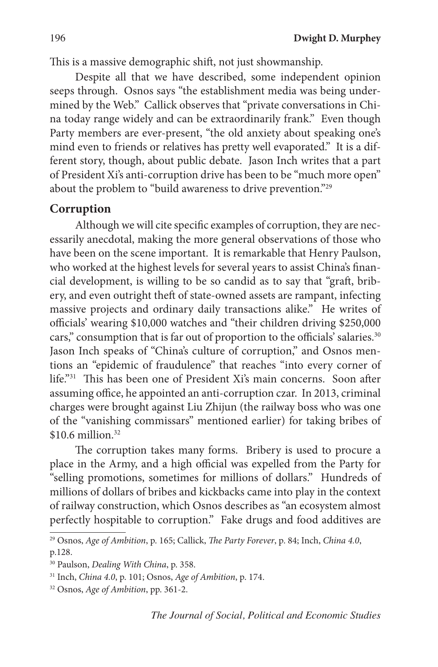This is a massive demographic shift, not just showmanship.

Despite all that we have described, some independent opinion seeps through. Osnos says "the establishment media was being undermined by the Web." Callick observes that "private conversations in China today range widely and can be extraordinarily frank." Even though Party members are ever-present, "the old anxiety about speaking one's mind even to friends or relatives has pretty well evaporated." It is a different story, though, about public debate. Jason Inch writes that a part of President Xi's anti-corruption drive has been to be "much more open" about the problem to "build awareness to drive prevention."29

### **Corruption**

Although we will cite specific examples of corruption, they are necessarily anecdotal, making the more general observations of those who have been on the scene important. It is remarkable that Henry Paulson, who worked at the highest levels for several years to assist China's financial development, is willing to be so candid as to say that "graft, bribery, and even outright theft of state-owned assets are rampant, infecting massive projects and ordinary daily transactions alike." He writes of officials' wearing \$10,000 watches and "their children driving \$250,000 cars," consumption that is far out of proportion to the officials' salaries.<sup>30</sup> Jason Inch speaks of "China's culture of corruption," and Osnos mentions an "epidemic of fraudulence" that reaches "into every corner of life."31 This has been one of President Xi's main concerns. Soon after assuming office, he appointed an anti-corruption czar. In 2013, criminal charges were brought against Liu Zhijun (the railway boss who was one of the "vanishing commissars" mentioned earlier) for taking bribes of  $$10.6$  million.<sup>32</sup>

The corruption takes many forms. Bribery is used to procure a place in the Army, and a high official was expelled from the Party for "selling promotions, sometimes for millions of dollars." Hundreds of millions of dollars of bribes and kickbacks came into play in the context of railway construction, which Osnos describes as "an ecosystem almost perfectly hospitable to corruption." Fake drugs and food additives are

<sup>29</sup> Osnos, *Age of Ambition*, p. 165; Callick, *The Party Forever*, p. 84; Inch, *China 4.0*, p.128.

<sup>30</sup> Paulson, *Dealing With China*, p. 358.

<sup>31</sup> Inch, *China 4.0*, p. 101; Osnos, *Age of Ambition*, p. 174.

<sup>32</sup> Osnos, *Age of Ambition*, pp. 361-2.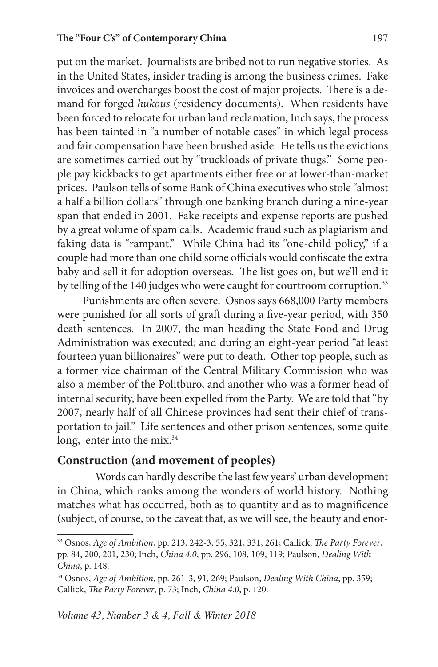put on the market. Journalists are bribed not to run negative stories. As in the United States, insider trading is among the business crimes. Fake invoices and overcharges boost the cost of major projects. There is a demand for forged *hukous* (residency documents). When residents have been forced to relocate for urban land reclamation, Inch says, the process has been tainted in "a number of notable cases" in which legal process and fair compensation have been brushed aside. He tells us the evictions are sometimes carried out by "truckloads of private thugs." Some people pay kickbacks to get apartments either free or at lower-than-market prices. Paulson tells of some Bank of China executives who stole "almost a half a billion dollars" through one banking branch during a nine-year span that ended in 2001. Fake receipts and expense reports are pushed by a great volume of spam calls. Academic fraud such as plagiarism and faking data is "rampant." While China had its "one-child policy," if a couple had more than one child some officials would confiscate the extra baby and sell it for adoption overseas. The list goes on, but we'll end it by telling of the 140 judges who were caught for courtroom corruption.<sup>33</sup>

Punishments are often severe. Osnos says 668,000 Party members were punished for all sorts of graft during a five-year period, with 350 death sentences. In 2007, the man heading the State Food and Drug Administration was executed; and during an eight-year period "at least fourteen yuan billionaires" were put to death. Other top people, such as a former vice chairman of the Central Military Commission who was also a member of the Politburo, and another who was a former head of internal security, have been expelled from the Party. We are told that "by 2007, nearly half of all Chinese provinces had sent their chief of transportation to jail." Life sentences and other prison sentences, some quite long, enter into the mix.<sup>34</sup>

### **Construction (and movement of peoples)**

Words can hardly describe the last few years' urban development in China, which ranks among the wonders of world history. Nothing matches what has occurred, both as to quantity and as to magnificence (subject, of course, to the caveat that, as we will see, the beauty and enor-

<sup>33</sup> Osnos, *Age of Ambition*, pp. 213, 242-3, 55, 321, 331, 261; Callick, *The Party Forever*, pp. 84, 200, 201, 230; Inch, *China 4.0*, pp. 296, 108, 109, 119; Paulson, *Dealing With China*, p. 148. 34 Osnos, *Age of Ambition*, pp. 261-3, 91, 269; Paulson, *Dealing With China*, pp. 359;

Callick, *The Party Forever*, p. 73; Inch, *China 4.0*, p. 120.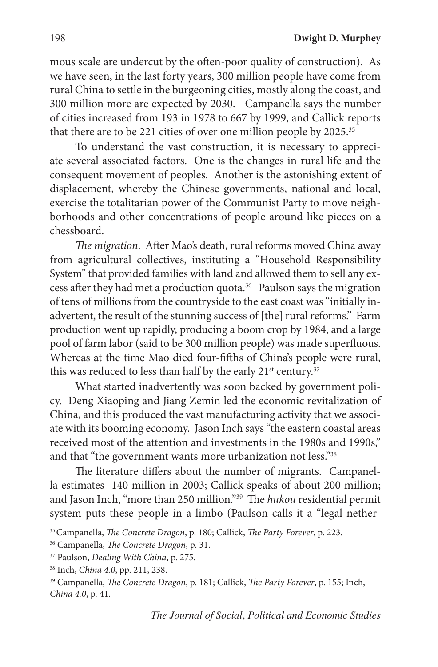mous scale are undercut by the often-poor quality of construction). As we have seen, in the last forty years, 300 million people have come from rural China to settle in the burgeoning cities, mostly along the coast, and 300 million more are expected by 2030. Campanella says the number of cities increased from 193 in 1978 to 667 by 1999, and Callick reports that there are to be 221 cities of over one million people by 2025.35

To understand the vast construction, it is necessary to appreciate several associated factors. One is the changes in rural life and the consequent movement of peoples. Another is the astonishing extent of displacement, whereby the Chinese governments, national and local, exercise the totalitarian power of the Communist Party to move neighborhoods and other concentrations of people around like pieces on a chessboard.

*The migration*. After Mao's death, rural reforms moved China away from agricultural collectives, instituting a "Household Responsibility System" that provided families with land and allowed them to sell any excess after they had met a production quota.36 Paulson says the migration of tens of millions from the countryside to the east coast was "initially inadvertent, the result of the stunning success of [the] rural reforms." Farm production went up rapidly, producing a boom crop by 1984, and a large pool of farm labor (said to be 300 million people) was made superfluous. Whereas at the time Mao died four-fifths of China's people were rural, this was reduced to less than half by the early  $21^{st}$  century.<sup>37</sup>

What started inadvertently was soon backed by government policy. Deng Xiaoping and Jiang Zemin led the economic revitalization of China, and this produced the vast manufacturing activity that we associate with its booming economy. Jason Inch says "the eastern coastal areas received most of the attention and investments in the 1980s and 1990s," and that "the government wants more urbanization not less."38

The literature differs about the number of migrants. Campanella estimates 140 million in 2003; Callick speaks of about 200 million; and Jason Inch, "more than 250 million."39 The *hukou* residential permit system puts these people in a limbo (Paulson calls it a "legal nether-

<sup>35</sup> Campanella, *The Concrete Dragon*, p. 180; Callick, *The Party Forever*, p. 223.

<sup>36</sup> Campanella, *The Concrete Dragon*, p. 31.

<sup>37</sup> Paulson, *Dealing With China*, p. 275.

<sup>38</sup> Inch, *China 4.0*, pp. 211, 238.

<sup>39</sup> Campanella, *The Concrete Dragon*, p. 181; Callick, *The Party Forever*, p. 155; Inch, *China 4.0*, p. 41.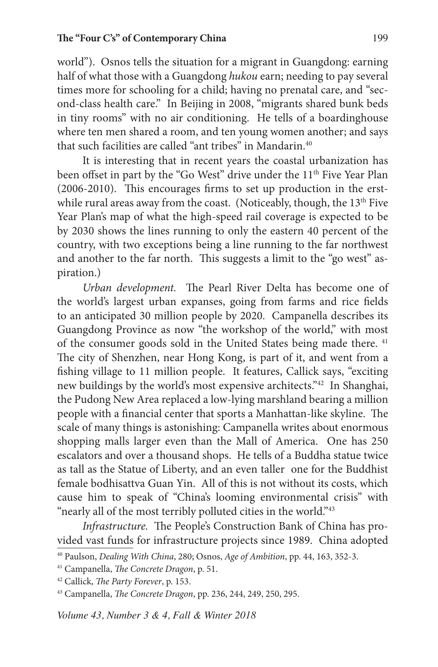world"). Osnos tells the situation for a migrant in Guangdong: earning half of what those with a Guangdong *hukou* earn; needing to pay several times more for schooling for a child; having no prenatal care, and "second-class health care." In Beijing in 2008, "migrants shared bunk beds in tiny rooms" with no air conditioning. He tells of a boardinghouse where ten men shared a room, and ten young women another; and says that such facilities are called "ant tribes" in Mandarin<sup>40</sup>

It is interesting that in recent years the coastal urbanization has been offset in part by the "Go West" drive under the 11<sup>th</sup> Five Year Plan (2006-2010). This encourages firms to set up production in the erstwhile rural areas away from the coast. (Noticeably, though, the 13<sup>th</sup> Five Year Plan's map of what the high-speed rail coverage is expected to be by 2030 shows the lines running to only the eastern 40 percent of the country, with two exceptions being a line running to the far northwest and another to the far north. This suggests a limit to the "go west" aspiration.)

*Urban development.* The Pearl River Delta has become one of the world's largest urban expanses, going from farms and rice fields to an anticipated 30 million people by 2020. Campanella describes its Guangdong Province as now "the workshop of the world," with most of the consumer goods sold in the United States being made there. <sup>41</sup> The city of Shenzhen, near Hong Kong, is part of it, and went from a fishing village to 11 million people. It features, Callick says, "exciting new buildings by the world's most expensive architects."42 In Shanghai, the Pudong New Area replaced a low-lying marshland bearing a million people with a financial center that sports a Manhattan-like skyline. The scale of many things is astonishing: Campanella writes about enormous shopping malls larger even than the Mall of America. One has 250 escalators and over a thousand shops. He tells of a Buddha statue twice as tall as the Statue of Liberty, and an even taller one for the Buddhist female bodhisattva Guan Yin. All of this is not without its costs, which cause him to speak of "China's looming environmental crisis" with "nearly all of the most terribly polluted cities in the world."<sup>43</sup>

*Infrastructure.* The People's Construction Bank of China has provided vast funds for infrastructure projects since 1989. China adopted

<sup>40</sup> Paulson, *Dealing With China*, 280; Osnos, *Age of Ambition*, pp. 44, 163, 352-3.

<sup>41</sup> Campanella, *The Concrete Dragon*, p. 51.

<sup>42</sup> Callick, *The Party Forever*, p. 153.

<sup>43</sup> Campanella, *The Concrete Dragon*, pp. 236, 244, 249, 250, 295.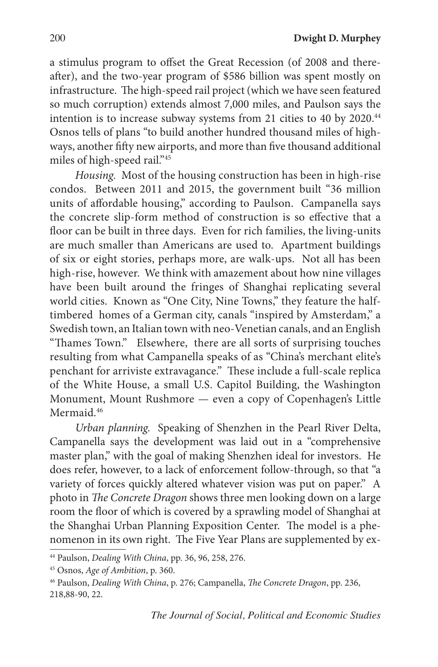a stimulus program to offset the Great Recession (of 2008 and thereafter), and the two-year program of \$586 billion was spent mostly on infrastructure. The high-speed rail project (which we have seen featured so much corruption) extends almost 7,000 miles, and Paulson says the intention is to increase subway systems from 21 cities to 40 by 2020.<sup>44</sup> Osnos tells of plans "to build another hundred thousand miles of highways, another fifty new airports, and more than five thousand additional miles of high-speed rail."45

*Housing.* Most of the housing construction has been in high-rise condos. Between 2011 and 2015, the government built "36 million units of affordable housing," according to Paulson. Campanella says the concrete slip-form method of construction is so effective that a floor can be built in three days. Even for rich families, the living-units are much smaller than Americans are used to. Apartment buildings of six or eight stories, perhaps more, are walk-ups. Not all has been high-rise, however. We think with amazement about how nine villages have been built around the fringes of Shanghai replicating several world cities. Known as "One City, Nine Towns," they feature the halftimbered homes of a German city, canals "inspired by Amsterdam," a Swedish town, an Italian town with neo-Venetian canals, and an English "Thames Town." Elsewhere, there are all sorts of surprising touches resulting from what Campanella speaks of as "China's merchant elite's penchant for arriviste extravagance." These include a full-scale replica of the White House, a small U.S. Capitol Building, the Washington Monument, Mount Rushmore — even a copy of Copenhagen's Little Mermaid<sup>46</sup>

*Urban planning.* Speaking of Shenzhen in the Pearl River Delta, Campanella says the development was laid out in a "comprehensive master plan," with the goal of making Shenzhen ideal for investors. He does refer, however, to a lack of enforcement follow-through, so that "a variety of forces quickly altered whatever vision was put on paper." A photo in *The Concrete Dragon* shows three men looking down on a large room the floor of which is covered by a sprawling model of Shanghai at the Shanghai Urban Planning Exposition Center. The model is a phenomenon in its own right. The Five Year Plans are supplemented by ex-

<sup>44</sup> Paulson, *Dealing With China*, pp. 36, 96, 258, 276.

<sup>45</sup> Osnos, *Age of Ambition*, p. 360.

<sup>46</sup> Paulson, *Dealing With China*, p. 276; Campanella, *The Concrete Dragon*, pp. 236, 218,88-90, 22.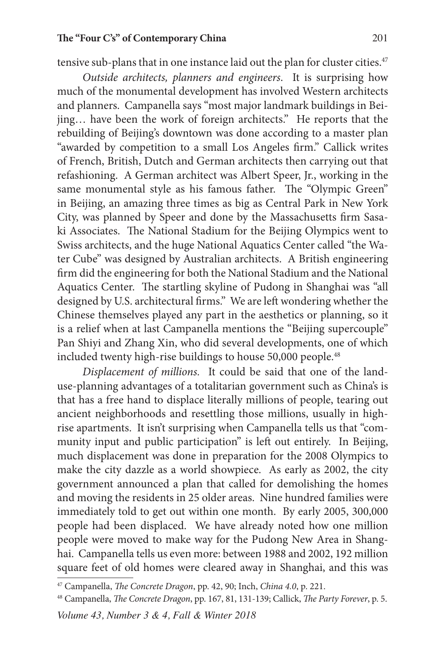#### **The "Four C's" of Contemporary China** 201

tensive sub-plans that in one instance laid out the plan for cluster cities.<sup>47</sup>

*Outside architects, planners and engineers*. It is surprising how much of the monumental development has involved Western architects and planners. Campanella says "most major landmark buildings in Beijing… have been the work of foreign architects." He reports that the rebuilding of Beijing's downtown was done according to a master plan "awarded by competition to a small Los Angeles firm." Callick writes of French, British, Dutch and German architects then carrying out that refashioning. A German architect was Albert Speer, Jr., working in the same monumental style as his famous father. The "Olympic Green" in Beijing, an amazing three times as big as Central Park in New York City, was planned by Speer and done by the Massachusetts firm Sasaki Associates. The National Stadium for the Beijing Olympics went to Swiss architects, and the huge National Aquatics Center called "the Water Cube" was designed by Australian architects. A British engineering firm did the engineering for both the National Stadium and the National Aquatics Center. The startling skyline of Pudong in Shanghai was "all designed by U.S. architectural firms." We are left wondering whether the Chinese themselves played any part in the aesthetics or planning, so it is a relief when at last Campanella mentions the "Beijing supercouple" Pan Shiyi and Zhang Xin, who did several developments, one of which included twenty high-rise buildings to house 50,000 people.<sup>48</sup>

*Displacement of millions.* It could be said that one of the landuse-planning advantages of a totalitarian government such as China's is that has a free hand to displace literally millions of people, tearing out ancient neighborhoods and resettling those millions, usually in highrise apartments. It isn't surprising when Campanella tells us that "community input and public participation" is left out entirely. In Beijing, much displacement was done in preparation for the 2008 Olympics to make the city dazzle as a world showpiece. As early as 2002, the city government announced a plan that called for demolishing the homes and moving the residents in 25 older areas. Nine hundred families were immediately told to get out within one month. By early 2005, 300,000 people had been displaced. We have already noted how one million people were moved to make way for the Pudong New Area in Shanghai. Campanella tells us even more: between 1988 and 2002, 192 million square feet of old homes were cleared away in Shanghai, and this was

<sup>47</sup> Campanella, *The Concrete Dragon*, pp. 42, 90; Inch, *China 4.0*, p. 221.

<sup>48</sup> Campanella, *The Concrete Dragon*, pp. 167, 81, 131-139; Callick, *The Party Forever*, p. 5.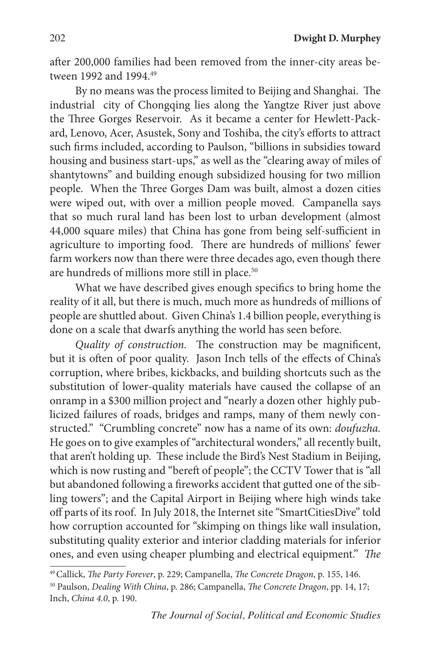after 200,000 families had been removed from the inner-city areas between 1992 and 1994 <sup>49</sup>

By no means was the process limited to Beijing and Shanghai. The industrial city of Chongqing lies along the Yangtze River just above the Three Gorges Reservoir. As it became a center for Hewlett-Packard, Lenovo, Acer, Asustek, Sony and Toshiba, the city's efforts to attract such firms included, according to Paulson, "billions in subsidies toward housing and business start-ups," as well as the "clearing away of miles of shantytowns" and building enough subsidized housing for two million people. When the Three Gorges Dam was built, almost a dozen cities were wiped out, with over a million people moved. Campanella says that so much rural land has been lost to urban development (almost 44,000 square miles) that China has gone from being self-sufficient in agriculture to importing food. There are hundreds of millions' fewer farm workers now than there were three decades ago, even though there are hundreds of millions more still in place.<sup>50</sup>

What we have described gives enough specifics to bring home the reality of it all, but there is much, much more as hundreds of millions of people are shuttled about. Given China's 1.4 billion people, everything is done on a scale that dwarfs anything the world has seen before.

*Quality of construction.* The construction may be magnificent, but it is often of poor quality. Jason Inch tells of the effects of China's corruption, where bribes, kickbacks, and building shortcuts such as the substitution of lower-quality materials have caused the collapse of an onramp in a \$300 million project and "nearly a dozen other highly publicized failures of roads, bridges and ramps, many of them newly constructed." "Crumbling concrete" now has a name of its own: *doufuzha.*  He goes on to give examples of "architectural wonders," all recently built, that aren't holding up. These include the Bird's Nest Stadium in Beijing, which is now rusting and "bereft of people"; the CCTV Tower that is "all but abandoned following a fireworks accident that gutted one of the sibling towers"; and the Capital Airport in Beijing where high winds take off parts of its roof. In July 2018, the Internet site "SmartCitiesDive" told how corruption accounted for "skimping on things like wall insulation, substituting quality exterior and interior cladding materials for inferior ones, and even using cheaper plumbing and electrical equipment." *The* 

<sup>49</sup> Callick, *The Party Forever*, p. 229; Campanella, *The Concrete Dragon*, p. 155, 146.

<sup>50</sup> Paulson, *Dealing With China*, p. 286; Campanella, *The Concrete Dragon*, pp. 14, 17; Inch, *China 4.0*, p. 190.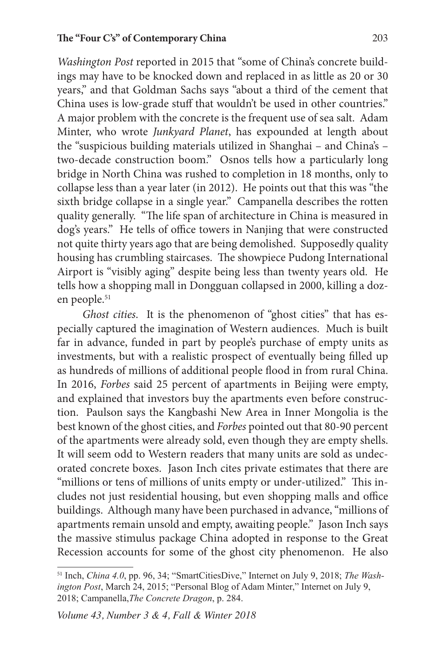*Washington Post* reported in 2015 that "some of China's concrete buildings may have to be knocked down and replaced in as little as 20 or 30 years," and that Goldman Sachs says "about a third of the cement that China uses is low-grade stuff that wouldn't be used in other countries." A major problem with the concrete is the frequent use of sea salt. Adam Minter, who wrote *Junkyard Planet*, has expounded at length about the "suspicious building materials utilized in Shanghai – and China's – two-decade construction boom." Osnos tells how a particularly long bridge in North China was rushed to completion in 18 months, only to collapse less than a year later (in 2012). He points out that this was "the sixth bridge collapse in a single year." Campanella describes the rotten quality generally. "The life span of architecture in China is measured in dog's years." He tells of office towers in Nanjing that were constructed not quite thirty years ago that are being demolished. Supposedly quality housing has crumbling staircases. The showpiece Pudong International Airport is "visibly aging" despite being less than twenty years old. He tells how a shopping mall in Dongguan collapsed in 2000, killing a dozen people.<sup>51</sup>

*Ghost cities*. It is the phenomenon of "ghost cities" that has especially captured the imagination of Western audiences. Much is built far in advance, funded in part by people's purchase of empty units as investments, but with a realistic prospect of eventually being filled up as hundreds of millions of additional people flood in from rural China. In 2016, *Forbes* said 25 percent of apartments in Beijing were empty, and explained that investors buy the apartments even before construction. Paulson says the Kangbashi New Area in Inner Mongolia is the best known of the ghost cities, and *Forbes* pointed out that 80-90 percent of the apartments were already sold, even though they are empty shells. It will seem odd to Western readers that many units are sold as undecorated concrete boxes. Jason Inch cites private estimates that there are "millions or tens of millions of units empty or under-utilized." This includes not just residential housing, but even shopping malls and office buildings. Although many have been purchased in advance, "millions of apartments remain unsold and empty, awaiting people." Jason Inch says the massive stimulus package China adopted in response to the Great Recession accounts for some of the ghost city phenomenon. He also

<sup>51</sup> Inch, *China 4.0*, pp. 96, 34; "SmartCitiesDive," Internet on July 9, 2018; *The Washington Post*, March 24, 2015; "Personal Blog of Adam Minter," Internet on July 9, 2018; Campanella,*The Concrete Dragon*, p. 284.